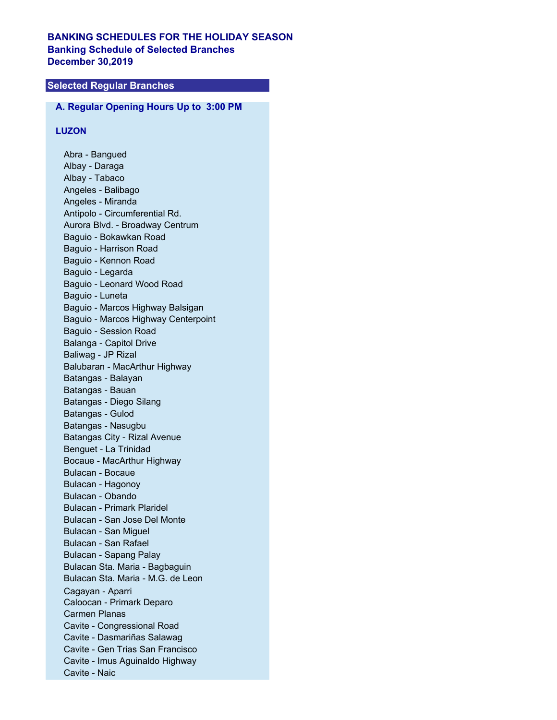# **BANKING SCHEDULES FOR THE HOLIDAY SEASON Banking Schedule of Selected Branches December 30,2019**

# **Selected Regular Branches**

# **A. Regular Opening Hours Up to 3:00 PM**

#### **LUZON**

Abra - Bangued Albay - Daraga Albay - Tabaco Angeles - Balibago Angeles - Miranda Antipolo - Circumferential Rd. Aurora Blvd. - Broadway Centrum Baguio - Bokawkan Road Baguio - Harrison Road Baguio - Kennon Road Baguio - Legarda Baguio - Leonard Wood Road Baguio - Luneta Baguio - Marcos Highway Balsigan Baguio - Marcos Highway Centerpoint Baguio - Session Road Balanga - Capitol Drive Baliwag - JP Rizal Balubaran - MacArthur Highway Batangas - Balayan Batangas - Bauan Batangas - Diego Silang Batangas - Gulod Batangas - Nasugbu Batangas City - Rizal Avenue Benguet - La Trinidad Bocaue - MacArthur Highway Bulacan - Bocaue Bulacan - Hagonoy Bulacan - Obando Bulacan - Primark Plaridel Bulacan - San Jose Del Monte Bulacan - San Miguel Bulacan - San Rafael Bulacan - Sapang Palay Bulacan Sta. Maria - Bagbaguin Bulacan Sta. Maria - M.G. de Leon Cagayan - Aparri Caloocan - Primark Deparo Carmen Planas Cavite - Congressional Road Cavite - Dasmariñas Salawag Cavite - Gen Trias San Francisco Cavite - Imus Aguinaldo Highway Cavite - Naic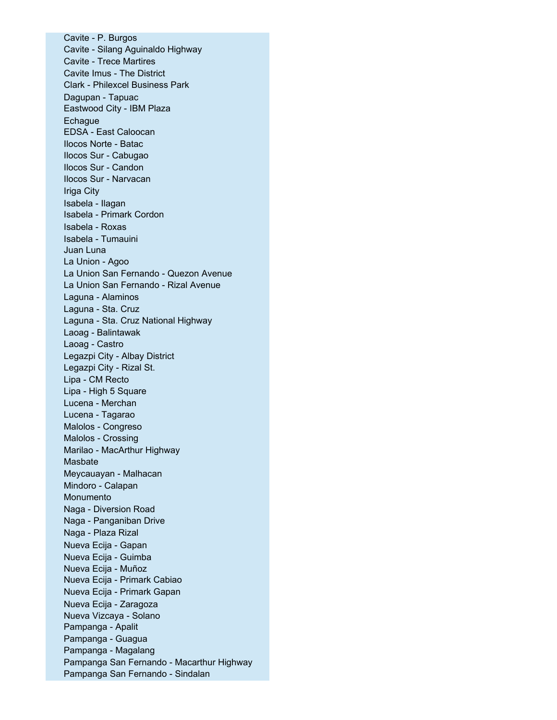Cavite - P. Burgos Cavite - Silang Aguinaldo Highway Cavite - Trece Martires Cavite Imus - The District Clark - Philexcel Business Park Dagupan - Tapuac Eastwood City - IBM Plaza **Echague** EDSA - East Caloocan Ilocos Norte - Batac Ilocos Sur - Cabugao Ilocos Sur - Candon Ilocos Sur - Narvacan Iriga City Isabela - Ilagan Isabela - Primark Cordon Isabela - Roxas Isabela - Tumauini Juan Luna La Union - Agoo La Union San Fernando - Quezon Avenue La Union San Fernando - Rizal Avenue Laguna - Alaminos Laguna - Sta. Cruz Laguna - Sta. Cruz National Highway Laoag - Balintawak Laoag - Castro Legazpi City - Albay District Legazpi City - Rizal St. Lipa - CM Recto Lipa - High 5 Square Lucena - Merchan Lucena - Tagarao Malolos - Congreso Malolos - Crossing Marilao - MacArthur Highway Masbate Meycauayan - Malhacan Mindoro - Calapan Monumento Naga - Diversion Road Naga - Panganiban Drive Naga - Plaza Rizal Nueva Ecija - Gapan Nueva Ecija - Guimba Nueva Ecija - Muñoz Nueva Ecija - Primark Cabiao Nueva Ecija - Primark Gapan Nueva Ecija - Zaragoza Nueva Vizcaya - Solano Pampanga - Apalit Pampanga - Guagua Pampanga - Magalang Pampanga San Fernando - Macarthur Highway Pampanga San Fernando - Sindalan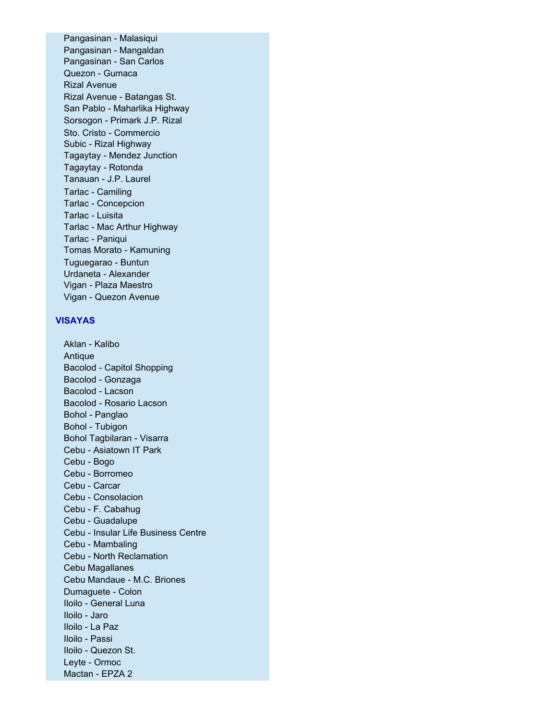Pangasinan - Malasiqui Pangasinan - Mangaldan Pangasinan - San Carlos Quezon - Gumaca Rizal Avenue Rizal Avenue - Batangas St. San Pablo - Maharlika Highway Sorsogon - Primark J.P. Rizal Sto. Cristo - Commercio Subic - Rizal Highway Tagaytay - Mendez Junction Tagaytay - Rotonda Tanauan - J.P. Laurel Tarlac - Camiling Tarlac - Concepcion Tarlac - Luisita Tarlac - Mac Arthur Highway Tarlac - Paniqui Tomas Morato - Kamuning Tuguegarao - Buntun Urdaneta - Alexander Vigan - Plaza Maestro Vigan - Quezon Avenue

## **VISAYAS**

Aklan - Kalibo Antique Bacolod - Capitol Shopping Bacolod - Gonzaga Bacolod - Lacson Bacolod - Rosario Lacson Bohol - Panglao Bohol - Tubigon Bohol Tagbilaran - Visarra Cebu - Asiatown IT Park Cebu - Bogo Cebu - Borromeo Cebu - Carcar Cebu - Consolacion Cebu - F. Cabahug Cebu - Guadalupe Cebu - Insular Life Business Centre Cebu - Mambaling Cebu - North Reclamation Cebu Magallanes Cebu Mandaue - M.C. Briones Dumaguete - Colon Iloilo - General Luna Iloilo - Jaro Iloilo - La Paz Iloilo - Passi Iloilo - Quezon St. Leyte - Ormoc Mactan - EPZA 2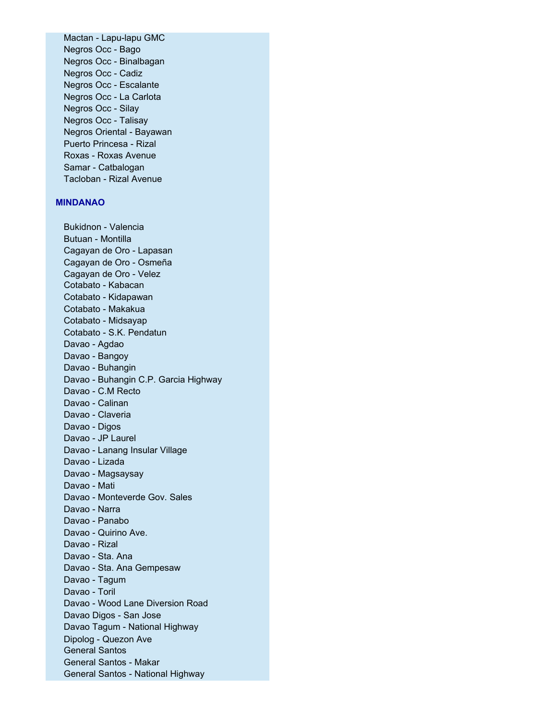Mactan - Lapu-lapu GMC Negros Occ - Bago Negros Occ - Binalbagan Negros Occ - Cadiz Negros Occ - Escalante Negros Occ - La Carlota Negros Occ - Silay Negros Occ - Talisay Negros Oriental - Bayawan Puerto Princesa - Rizal Roxas - Roxas Avenue Samar - Catbalogan Tacloban - Rizal Avenue

### **MINDANAO**

Bukidnon - Valencia Butuan - Montilla Cagayan de Oro - Lapasan Cagayan de Oro - Osmeña Cagayan de Oro - Velez Cotabato - Kabacan Cotabato - Kidapawan Cotabato - Makakua Cotabato - Midsayap Cotabato - S.K. Pendatun Davao - Agdao Davao - Bangoy Davao - Buhangin Davao - Buhangin C.P. Garcia Highway Davao - C.M Recto Davao - Calinan Davao - Claveria Davao - Digos Davao - JP Laurel Davao - Lanang Insular Village Davao - Lizada Davao - Magsaysay Davao - Mati Davao - Monteverde Gov. Sales Davao - Narra Davao - Panabo Davao - Quirino Ave. Davao - Rizal Davao - Sta. Ana Davao - Sta. Ana Gempesaw Davao - Tagum Davao - Toril Davao - Wood Lane Diversion Road Davao Digos - San Jose Davao Tagum - National Highway Dipolog - Quezon Ave General Santos General Santos - Makar General Santos - National Highway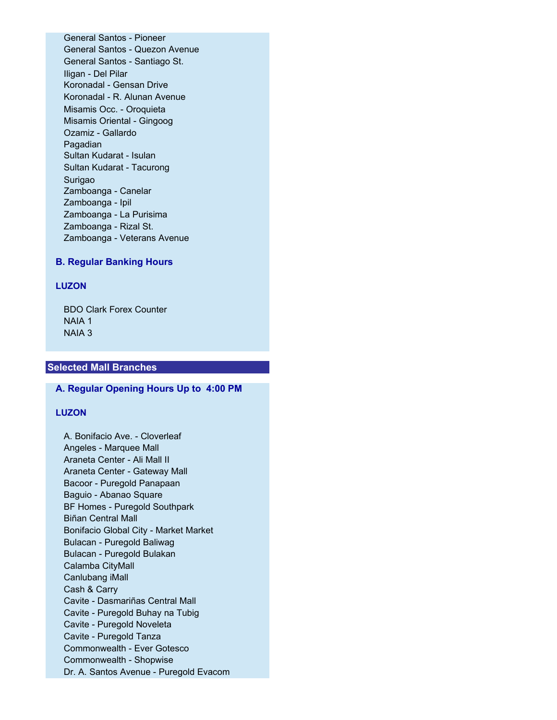General Santos - Pioneer General Santos - Quezon Avenue General Santos - Santiago St. Iligan - Del Pilar Koronadal - Gensan Drive Koronadal - R. Alunan Avenue Misamis Occ. - Oroquieta Misamis Oriental - Gingoog Ozamiz - Gallardo Pagadian Sultan Kudarat - Isulan Sultan Kudarat - Tacurong Surigao Zamboanga - Canelar Zamboanga - Ipil Zamboanga - La Purisima Zamboanga - Rizal St. Zamboanga - Veterans Avenue

### **B. Regular Banking Hours**

### **LUZON**

BDO Clark Forex Counter NAIA 1 NAIA 3

### **Selected Mall Branches**

#### **A. Regular Opening Hours Up to 4:00 PM**

## **LUZON**

A. Bonifacio Ave. - Cloverleaf Angeles - Marquee Mall Araneta Center - Ali Mall II Araneta Center - Gateway Mall Bacoor - Puregold Panapaan Baguio - Abanao Square BF Homes - Puregold Southpark Biñan Central Mall Bonifacio Global City - Market Market Bulacan - Puregold Baliwag Bulacan - Puregold Bulakan Calamba CityMall Canlubang iMall Cash & Carry Cavite - Dasmariñas Central Mall Cavite - Puregold Buhay na Tubig Cavite - Puregold Noveleta Cavite - Puregold Tanza Commonwealth - Ever Gotesco Commonwealth - Shopwise Dr. A. Santos Avenue - Puregold Evacom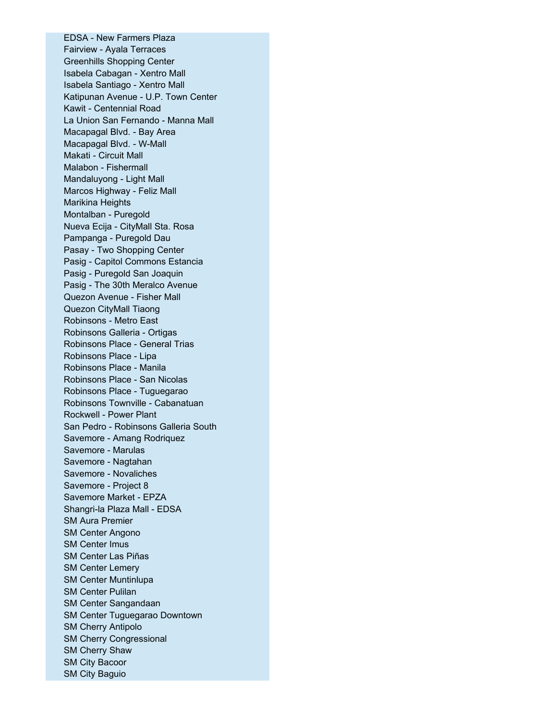EDSA - New Farmers Plaza Fairview - Ayala Terraces Greenhills Shopping Center Isabela Cabagan - Xentro Mall Isabela Santiago - Xentro Mall Katipunan Avenue - U.P. Town Center Kawit - Centennial Road La Union San Fernando - Manna Mall Macapagal Blvd. - Bay Area Macapagal Blvd. - W-Mall Makati - Circuit Mall Malabon - Fishermall Mandaluyong - Light Mall Marcos Highway - Feliz Mall Marikina Heights Montalban - Puregold Nueva Ecija - CityMall Sta. Rosa Pampanga - Puregold Dau Pasay - Two Shopping Center Pasig - Capitol Commons Estancia Pasig - Puregold San Joaquin Pasig - The 30th Meralco Avenue Quezon Avenue - Fisher Mall Quezon CityMall Tiaong Robinsons - Metro East Robinsons Galleria - Ortigas Robinsons Place - General Trias Robinsons Place - Lipa Robinsons Place - Manila Robinsons Place - San Nicolas Robinsons Place - Tuguegarao Robinsons Townville - Cabanatuan Rockwell - Power Plant San Pedro - Robinsons Galleria South Savemore - Amang Rodriquez Savemore - Marulas Savemore - Nagtahan Savemore - Novaliches Savemore - Project 8 Savemore Market - EPZA Shangri-la Plaza Mall - EDSA SM Aura Premier SM Center Angono SM Center Imus SM Center Las Piñas SM Center Lemery SM Center Muntinlupa SM Center Pulilan SM Center Sangandaan SM Center Tuguegarao Downtown SM Cherry Antipolo SM Cherry Congressional SM Cherry Shaw SM City Bacoor SM City Baguio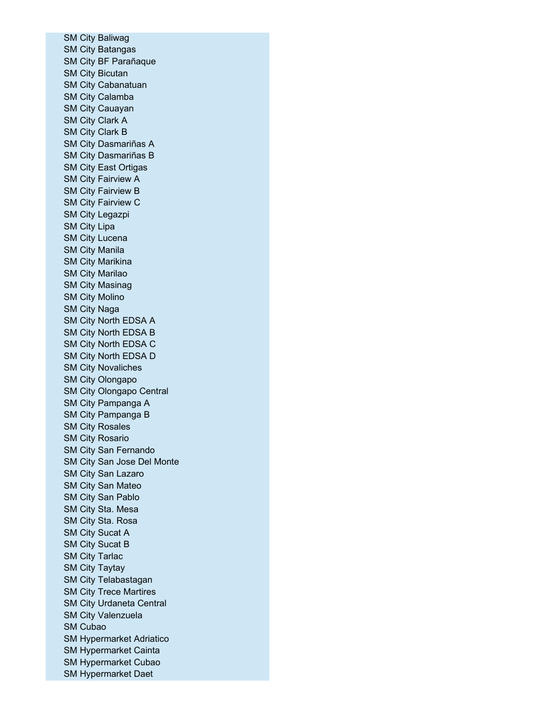SM City Baliwag SM City Batangas SM City BF Parañaque SM City Bicutan SM City Cabanatuan SM City Calamba SM City Cauayan SM City Clark A SM City Clark B SM City Dasmariñas A SM City Dasmariñas B SM City East Ortigas SM City Fairview A SM City Fairview B SM City Fairview C SM City Legazpi SM City Lipa SM City Lucena SM City Manila SM City Marikina SM City Marilao SM City Masinag SM City Molino SM City Naga SM City North EDSA A SM City North EDSA B SM City North EDSA C SM City North EDSA D SM City Novaliches SM City Olongapo SM City Olongapo Central SM City Pampanga A SM City Pampanga B SM City Rosales SM City Rosario SM City San Fernando SM City San Jose Del Monte SM City San Lazaro SM City San Mateo SM City San Pablo SM City Sta. Mesa SM City Sta. Rosa SM City Sucat A SM City Sucat B SM City Tarlac SM City Taytay SM City Telabastagan SM City Trece Martires SM City Urdaneta Central SM City Valenzuela SM Cubao SM Hypermarket Adriatico SM Hypermarket Cainta SM Hypermarket Cubao SM Hypermarket Daet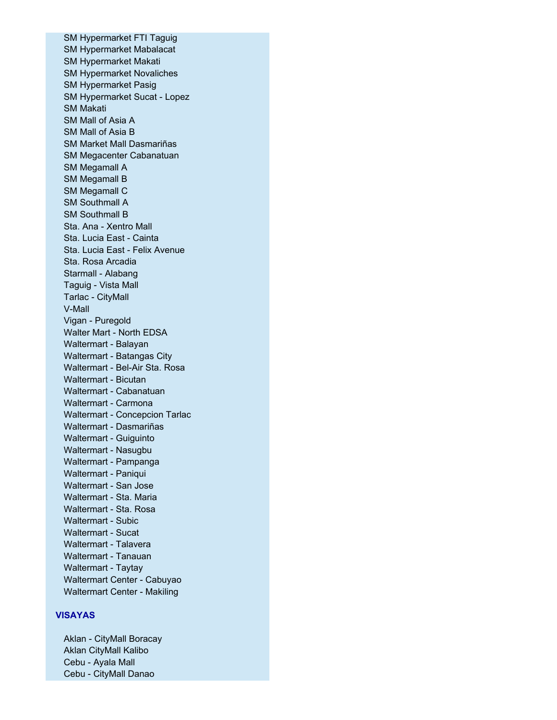SM Hypermarket FTI Taguig SM Hypermarket Mabalacat SM Hypermarket Makati SM Hypermarket Novaliches SM Hypermarket Pasig SM Hypermarket Sucat - Lopez SM Makati SM Mall of Asia A SM Mall of Asia B SM Market Mall Dasmariñas SM Megacenter Cabanatuan SM Megamall A SM Megamall B SM Megamall C SM Southmall A SM Southmall B Sta. Ana - Xentro Mall Sta. Lucia East - Cainta Sta. Lucia East - Felix Avenue Sta. Rosa Arcadia Starmall - Alabang Taguig - Vista Mall Tarlac - CityMall V-Mall Vigan - Puregold Walter Mart - North EDSA Waltermart - Balayan Waltermart - Batangas City Waltermart - Bel-Air Sta. Rosa Waltermart - Bicutan Waltermart - Cabanatuan Waltermart - Carmona Waltermart - Concepcion Tarlac Waltermart - Dasmariñas Waltermart - Guiguinto Waltermart - Nasugbu Waltermart - Pampanga Waltermart - Paniqui Waltermart - San Jose Waltermart - Sta. Maria Waltermart - Sta. Rosa Waltermart - Subic Waltermart - Sucat Waltermart - Talavera Waltermart - Tanauan Waltermart - Taytay Waltermart Center - Cabuyao Waltermart Center - Makiling

## **VISAYAS**

Aklan - CityMall Boracay Aklan CityMall Kalibo Cebu - Ayala Mall Cebu - CityMall Danao